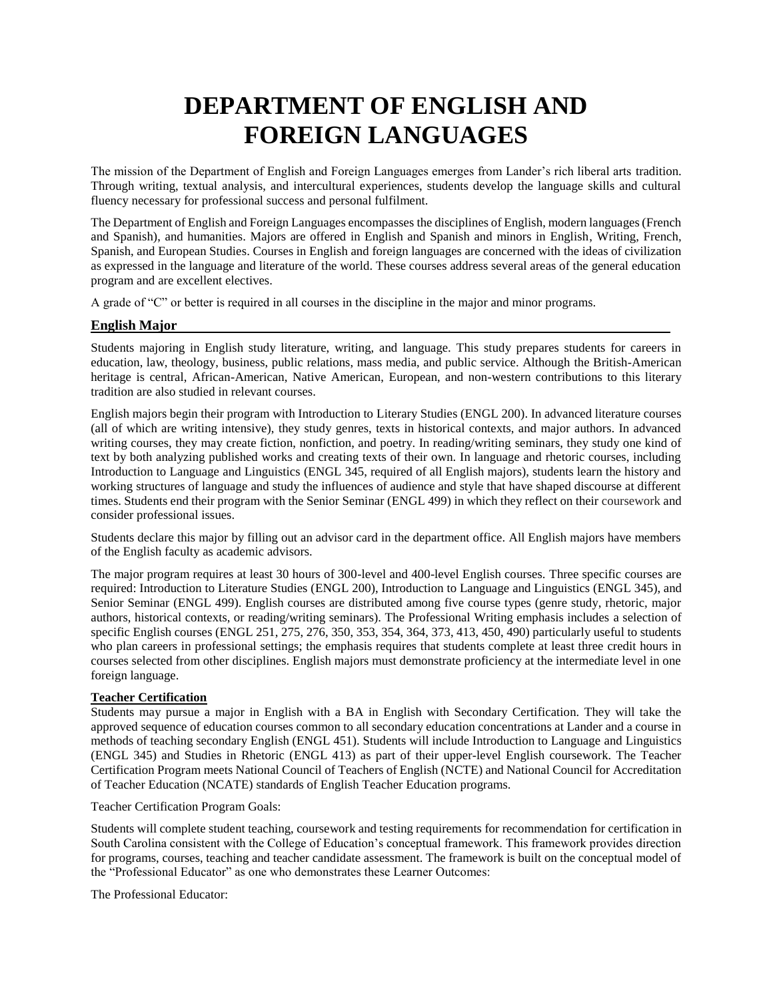# **DEPARTMENT OF ENGLISH AND FOREIGN LANGUAGES**

The mission of the Department of English and Foreign Languages emerges from Lander's rich liberal arts tradition. Through writing, textual analysis, and intercultural experiences, students develop the language skills and cultural fluency necessary for professional success and personal fulfilment.

The Department of English and Foreign Languages encompasses the disciplines of English, modern languages (French and Spanish), and humanities. Majors are offered in English and Spanish and minors in English, Writing, French, Spanish, and European Studies. Courses in English and foreign languages are concerned with the ideas of civilization as expressed in the language and literature of the world. These courses address several areas of the general education program and are excellent electives.

A grade of "C" or better is required in all courses in the discipline in the major and minor programs.

# **English Major**

Students majoring in English study literature, writing, and language. This study prepares students for careers in education, law, theology, business, public relations, mass media, and public service. Although the British-American heritage is central, African-American, Native American, European, and non-western contributions to this literary tradition are also studied in relevant courses.

English majors begin their program with Introduction to Literary Studies (ENGL 200). In advanced literature courses (all of which are writing intensive), they study genres, texts in historical contexts, and major authors. In advanced writing courses, they may create fiction, nonfiction, and poetry. In reading/writing seminars, they study one kind of text by both analyzing published works and creating texts of their own. In language and rhetoric courses, including Introduction to Language and Linguistics (ENGL 345, required of all English majors), students learn the history and working structures of language and study the influences of audience and style that have shaped discourse at different times. Students end their program with the Senior Seminar (ENGL 499) in which they reflect on their coursework and consider professional issues.

Students declare this major by filling out an advisor card in the department office. All English majors have members of the English faculty as academic advisors.

The major program requires at least 30 hours of 300-level and 400-level English courses. Three specific courses are required: Introduction to Literature Studies (ENGL 200), Introduction to Language and Linguistics (ENGL 345), and Senior Seminar (ENGL 499). English courses are distributed among five course types (genre study, rhetoric, major authors, historical contexts, or reading/writing seminars). The Professional Writing emphasis includes a selection of specific English courses (ENGL 251, 275, 276, 350, 353, 354, 364, 373, 413, 450, 490) particularly useful to students who plan careers in professional settings; the emphasis requires that students complete at least three credit hours in courses selected from other disciplines. English majors must demonstrate proficiency at the intermediate level in one foreign language.

### **Teacher Certification**

Students may pursue a major in English with a BA in English with Secondary Certification. They will take the approved sequence of education courses common to all secondary education concentrations at Lander and a course in methods of teaching secondary English (ENGL 451). Students will include Introduction to Language and Linguistics (ENGL 345) and Studies in Rhetoric (ENGL 413) as part of their upper-level English coursework. The Teacher Certification Program meets National Council of Teachers of English (NCTE) and National Council for Accreditation of Teacher Education (NCATE) standards of English Teacher Education programs.

Teacher Certification Program Goals:

Students will complete student teaching, coursework and testing requirements for recommendation for certification in South Carolina consistent with the College of Education's conceptual framework. This framework provides direction for programs, courses, teaching and teacher candidate assessment. The framework is built on the conceptual model of the "Professional Educator" as one who demonstrates these Learner Outcomes:

The Professional Educator: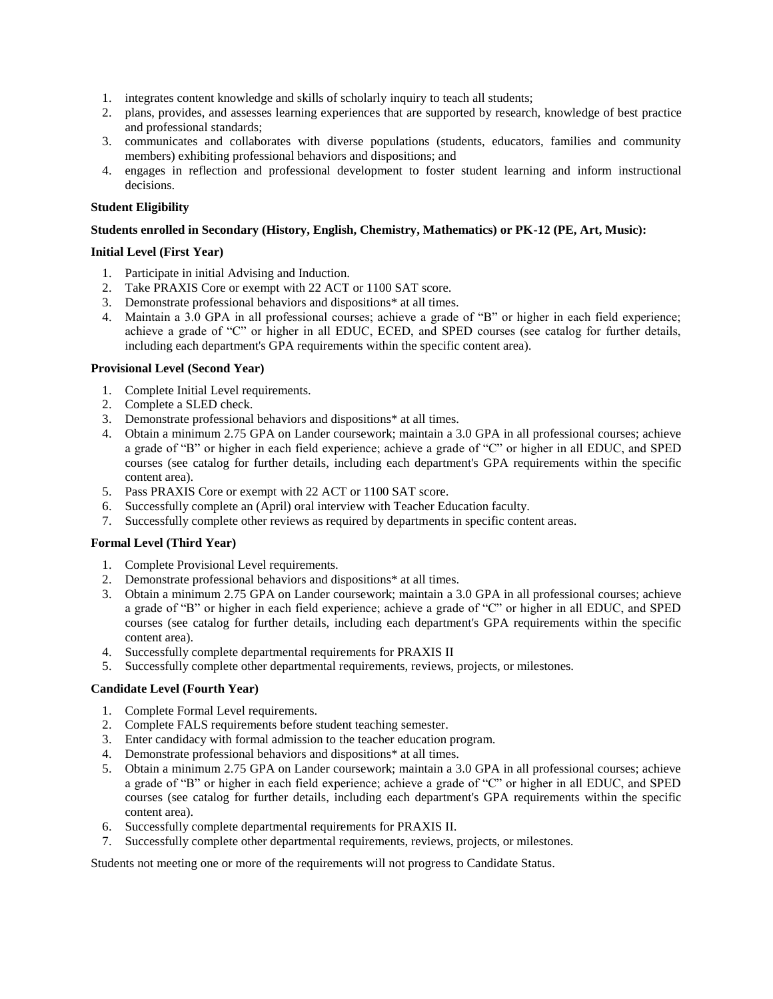- 1. integrates content knowledge and skills of scholarly inquiry to teach all students;
- 2. plans, provides, and assesses learning experiences that are supported by research, knowledge of best practice and professional standards;
- 3. communicates and collaborates with diverse populations (students, educators, families and community members) exhibiting professional behaviors and dispositions; and
- 4. engages in reflection and professional development to foster student learning and inform instructional decisions.

### **Student Eligibility**

### **Students enrolled in Secondary (History, English, Chemistry, Mathematics) or PK-12 (PE, Art, Music):**

### **Initial Level (First Year)**

- 1. Participate in initial Advising and Induction.
- 2. Take PRAXIS Core or exempt with 22 ACT or 1100 SAT score.
- 3. Demonstrate professional behaviors and dispositions\* at all times.
- 4. Maintain a 3.0 GPA in all professional courses; achieve a grade of "B" or higher in each field experience; achieve a grade of "C" or higher in all EDUC, ECED, and SPED courses (see catalog for further details, including each department's GPA requirements within the specific content area).

### **Provisional Level (Second Year)**

- 1. Complete Initial Level requirements.
- 2. Complete a SLED check.
- 3. Demonstrate professional behaviors and dispositions\* at all times.
- 4. Obtain a minimum 2.75 GPA on Lander coursework; maintain a 3.0 GPA in all professional courses; achieve a grade of "B" or higher in each field experience; achieve a grade of "C" or higher in all EDUC, and SPED courses (see catalog for further details, including each department's GPA requirements within the specific content area).
- 5. Pass PRAXIS Core or exempt with 22 ACT or 1100 SAT score.
- 6. Successfully complete an (April) oral interview with Teacher Education faculty.
- 7. Successfully complete other reviews as required by departments in specific content areas.

### **Formal Level (Third Year)**

- 1. Complete Provisional Level requirements.
- 2. Demonstrate professional behaviors and dispositions\* at all times.
- 3. Obtain a minimum 2.75 GPA on Lander coursework; maintain a 3.0 GPA in all professional courses; achieve a grade of "B" or higher in each field experience; achieve a grade of "C" or higher in all EDUC, and SPED courses (see catalog for further details, including each department's GPA requirements within the specific content area).
- 4. Successfully complete departmental requirements for PRAXIS II
- 5. Successfully complete other departmental requirements, reviews, projects, or milestones.

### **Candidate Level (Fourth Year)**

- 1. Complete Formal Level requirements.
- 2. Complete FALS requirements before student teaching semester.
- 3. Enter candidacy with formal admission to the teacher education program.
- 4. Demonstrate professional behaviors and dispositions\* at all times.
- 5. Obtain a minimum 2.75 GPA on Lander coursework; maintain a 3.0 GPA in all professional courses; achieve a grade of "B" or higher in each field experience; achieve a grade of "C" or higher in all EDUC, and SPED courses (see catalog for further details, including each department's GPA requirements within the specific content area).
- 6. Successfully complete departmental requirements for PRAXIS II.
- 7. Successfully complete other departmental requirements, reviews, projects, or milestones.

Students not meeting one or more of the requirements will not progress to Candidate Status.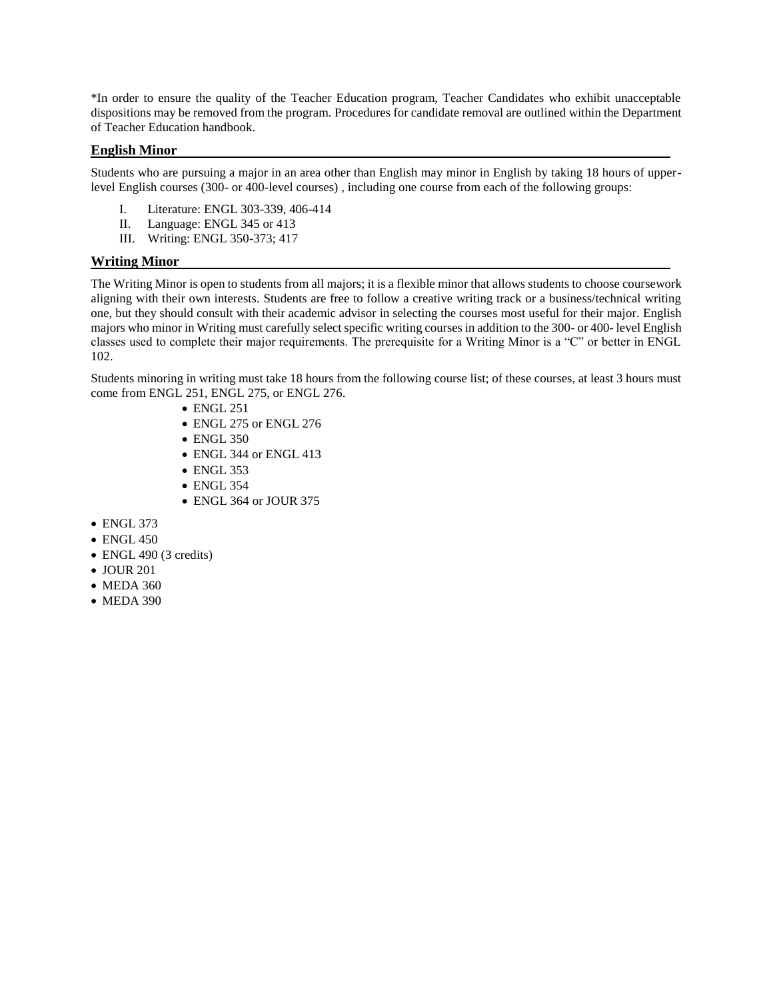\*In order to ensure the quality of the Teacher Education program, Teacher Candidates who exhibit unacceptable dispositions may be removed from the program. Procedures for candidate removal are outlined within the Department of Teacher Education handbook.

### **English Minor**

Students who are pursuing a major in an area other than English may minor in English by taking 18 hours of upperlevel English courses (300- or 400-level courses) , including one course from each of the following groups:

- I. Literature: ENGL 303-339, 406-414
- II. Language: ENGL 345 or 413
- III. Writing: ENGL 350-373; 417

## **Writing Minor**

The Writing Minor is open to students from all majors; it is a flexible minor that allows students to choose coursework aligning with their own interests. Students are free to follow a creative writing track or a business/technical writing one, but they should consult with their academic advisor in selecting the courses most useful for their major. English majors who minor in Writing must carefully select specific writing courses in addition to the 300- or 400- level English classes used to complete their major requirements. The prerequisite for a Writing Minor is a "C" or better in ENGL 102.

Students minoring in writing must take 18 hours from the following course list; of these courses, at least 3 hours must come from ENGL 251, ENGL 275, or ENGL 276.

- ENGL 251
- ENGL 275 or ENGL 276
- ENGL 350
- ENGL 344 or ENGL 413
- ENGL 353
- ENGL 354
- ENGL 364 or JOUR 375
- ENGL 373
- ENGL 450
- ENGL 490 (3 credits)
- JOUR 201
- MEDA 360
- MEDA 390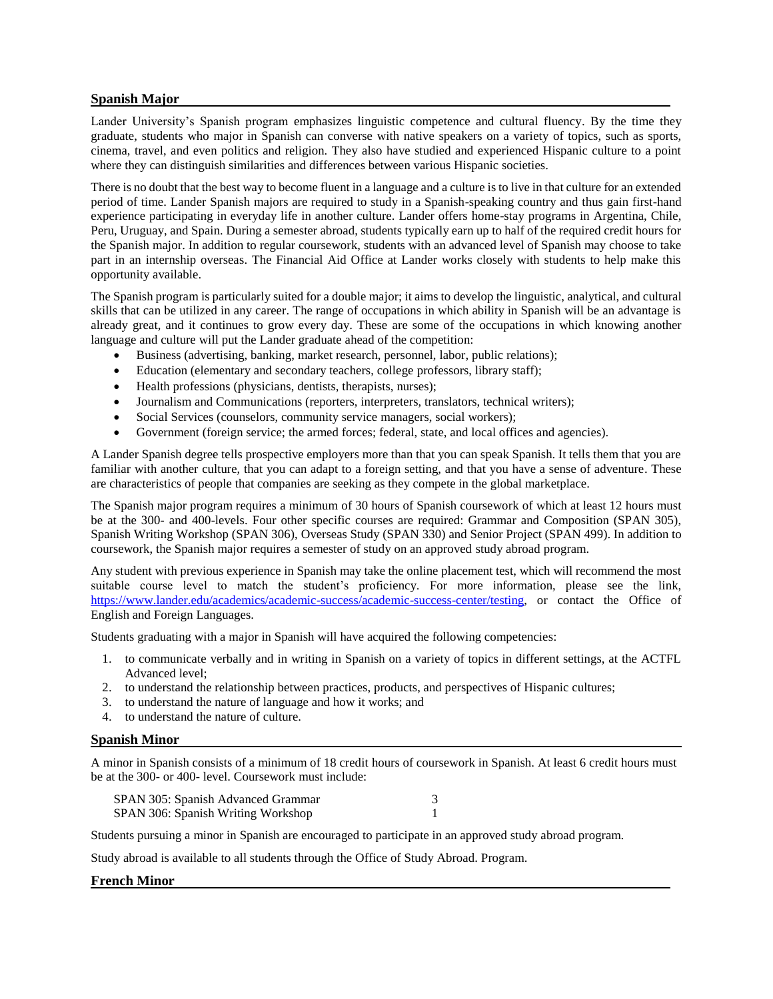### **Spanish Major**

Lander University's Spanish program emphasizes linguistic competence and cultural fluency. By the time they graduate, students who major in Spanish can converse with native speakers on a variety of topics, such as sports, cinema, travel, and even politics and religion. They also have studied and experienced Hispanic culture to a point where they can distinguish similarities and differences between various Hispanic societies.

There is no doubt that the best way to become fluent in a language and a culture is to live in that culture for an extended period of time. Lander Spanish majors are required to study in a Spanish-speaking country and thus gain first-hand experience participating in everyday life in another culture. Lander offers home-stay programs in Argentina, Chile, Peru, Uruguay, and Spain. During a semester abroad, students typically earn up to half of the required credit hours for the Spanish major. In addition to regular coursework, students with an advanced level of Spanish may choose to take part in an internship overseas. The Financial Aid Office at Lander works closely with students to help make this opportunity available.

The Spanish program is particularly suited for a double major; it aims to develop the linguistic, analytical, and cultural skills that can be utilized in any career. The range of occupations in which ability in Spanish will be an advantage is already great, and it continues to grow every day. These are some of the occupations in which knowing another language and culture will put the Lander graduate ahead of the competition:

- Business (advertising, banking, market research, personnel, labor, public relations);
- Education (elementary and secondary teachers, college professors, library staff);
- Health professions (physicians, dentists, therapists, nurses);
- Journalism and Communications (reporters, interpreters, translators, technical writers);
- Social Services (counselors, community service managers, social workers);
- Government (foreign service; the armed forces; federal, state, and local offices and agencies).

A Lander Spanish degree tells prospective employers more than that you can speak Spanish. It tells them that you are familiar with another culture, that you can adapt to a foreign setting, and that you have a sense of adventure. These are characteristics of people that companies are seeking as they compete in the global marketplace.

The Spanish major program requires a minimum of 30 hours of Spanish coursework of which at least 12 hours must be at the 300- and 400-levels. Four other specific courses are required: Grammar and Composition (SPAN 305), Spanish Writing Workshop (SPAN 306), Overseas Study (SPAN 330) and Senior Project (SPAN 499). In addition to coursework, the Spanish major requires a semester of study on an approved study abroad program.

Any student with previous experience in Spanish may take the online placement test, which will recommend the most suitable course level to match the student's proficiency. For more information, please see the link, [https://www.lander.edu/academics/academic-success/academic-success-center/testing,](https://www.lander.edu/academics/academic-success/academic-success-center/testing) or contact the Office of English and Foreign Languages.

Students graduating with a major in Spanish will have acquired the following competencies:

- 1. to communicate verbally and in writing in Spanish on a variety of topics in different settings, at the ACTFL Advanced level;
- 2. to understand the relationship between practices, products, and perspectives of Hispanic cultures;
- 3. to understand the nature of language and how it works; and
- 4. to understand the nature of culture.

### **Spanish Minor**

A minor in Spanish consists of a minimum of 18 credit hours of coursework in Spanish. At least 6 credit hours must be at the 300- or 400- level. Coursework must include:

| SPAN 305: Spanish Advanced Grammar |  |
|------------------------------------|--|
| SPAN 306: Spanish Writing Workshop |  |

Students pursuing a minor in Spanish are encouraged to participate in an approved study abroad program.

Study abroad is available to all students through the Office of Study Abroad. Program.

### **French Minor**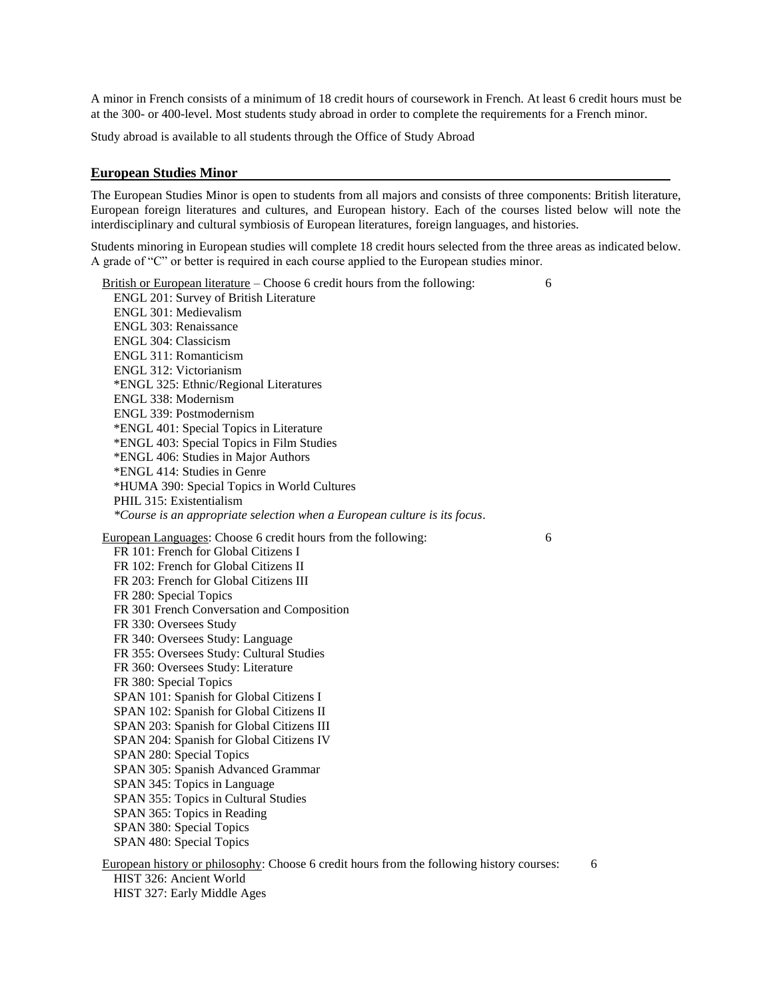A minor in French consists of a minimum of 18 credit hours of coursework in French. At least 6 credit hours must be at the 300- or 400-level. Most students study abroad in order to complete the requirements for a French minor.

Study abroad is available to all students through the Office of Study Abroad

### **European Studies Minor**

The European Studies Minor is open to students from all majors and consists of three components: British literature, European foreign literatures and cultures, and European history. Each of the courses listed below will note the interdisciplinary and cultural symbiosis of European literatures, foreign languages, and histories.

Students minoring in European studies will complete 18 credit hours selected from the three areas as indicated below. A grade of "C" or better is required in each course applied to the European studies minor.

British or European literature – Choose 6 credit hours from the following: 6 ENGL 201: Survey of British Literature ENGL 301: Medievalism ENGL 303: Renaissance ENGL 304: Classicism ENGL 311: Romanticism ENGL 312: Victorianism \*ENGL 325: Ethnic/Regional Literatures ENGL 338: Modernism ENGL 339: Postmodernism \*ENGL 401: Special Topics in Literature \*ENGL 403: Special Topics in Film Studies \*ENGL 406: Studies in Major Authors \*ENGL 414: Studies in Genre \*HUMA 390: Special Topics in World Cultures PHIL 315: Existentialism *\*Course is an appropriate selection when a European culture is its focus*. European Languages: Choose 6 credit hours from the following: 6 FR 101: French for Global Citizens I FR 102: French for Global Citizens II FR 203: French for Global Citizens III FR 280: Special Topics FR 301 French Conversation and Composition FR 330: Oversees Study FR 340: Oversees Study: Language FR 355: Oversees Study: Cultural Studies FR 360: Oversees Study: Literature FR 380: Special Topics SPAN 101: Spanish for Global Citizens I SPAN 102: Spanish for Global Citizens II SPAN 203: Spanish for Global Citizens III SPAN 204: Spanish for Global Citizens IV SPAN 280: Special Topics SPAN 305: Spanish Advanced Grammar SPAN 345: Topics in Language SPAN 355: Topics in Cultural Studies SPAN 365: Topics in Reading SPAN 380: Special Topics SPAN 480: Special Topics European history or philosophy: Choose 6 credit hours from the following history courses: 6 HIST 326: Ancient World

HIST 327: Early Middle Ages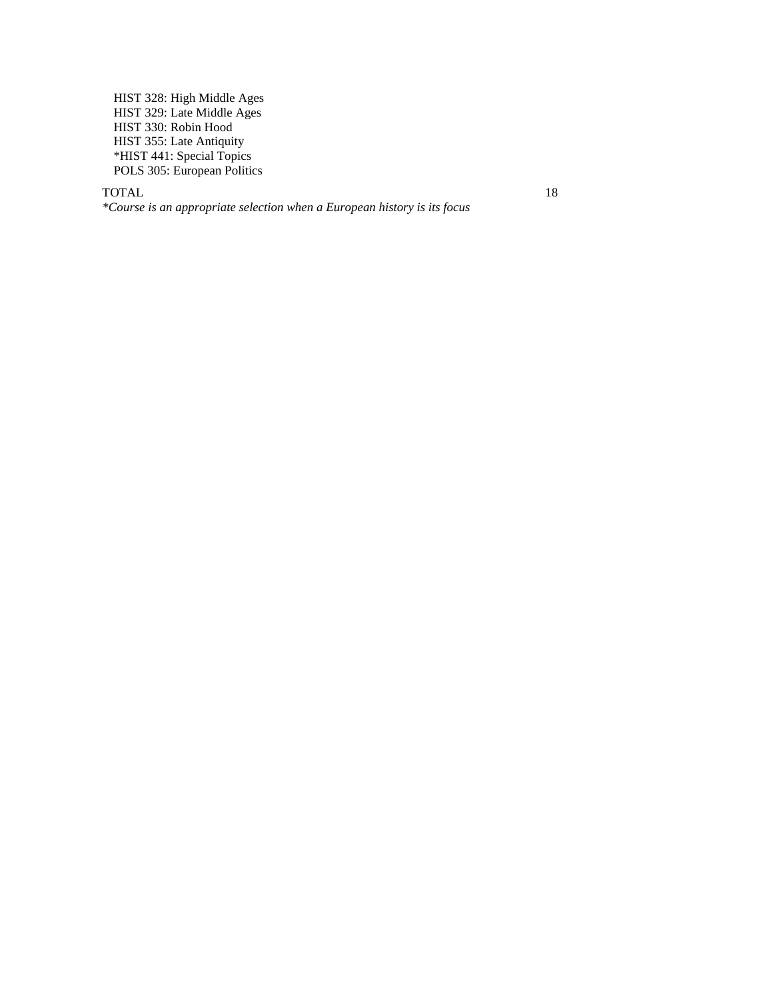HIST 328: High Middle Ages HIST 329: Late Middle Ages HIST 330: Robin Hood HIST 355: Late Antiquity \*HIST 441: Special Topics POLS 305: European Politics

#### TOTAL 18

*\*Course is an appropriate selection when a European history is its focus*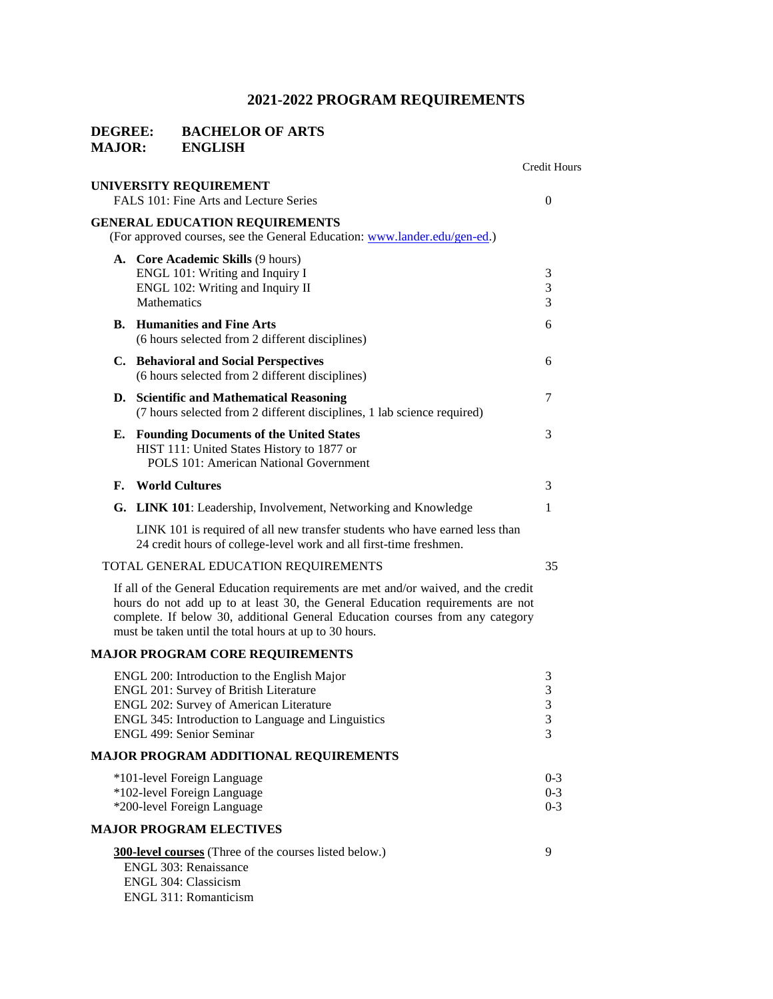# **DEGREE:** BACHELOR OF ARTS<br>MAJOR: ENGLISH **MAJOR:**

|    |                                                                                                                                                                                                                                                                                                                 | <b>Credit Hours</b>            |
|----|-----------------------------------------------------------------------------------------------------------------------------------------------------------------------------------------------------------------------------------------------------------------------------------------------------------------|--------------------------------|
|    | UNIVERSITY REQUIREMENT<br>FALS 101: Fine Arts and Lecture Series                                                                                                                                                                                                                                                | $\overline{0}$                 |
|    | <b>GENERAL EDUCATION REQUIREMENTS</b><br>(For approved courses, see the General Education: www.lander.edu/gen-ed.)                                                                                                                                                                                              |                                |
|    | A. Core Academic Skills (9 hours)<br>ENGL 101: Writing and Inquiry I<br>ENGL 102: Writing and Inquiry II<br>Mathematics                                                                                                                                                                                         | 3<br>3<br>3                    |
| В. | <b>Humanities and Fine Arts</b><br>(6 hours selected from 2 different disciplines)                                                                                                                                                                                                                              | 6                              |
|    | C. Behavioral and Social Perspectives<br>(6 hours selected from 2 different disciplines)                                                                                                                                                                                                                        | 6                              |
|    | D. Scientific and Mathematical Reasoning<br>(7 hours selected from 2 different disciplines, 1 lab science required)                                                                                                                                                                                             | 7                              |
| Е. | <b>Founding Documents of the United States</b><br>HIST 111: United States History to 1877 or<br><b>POLS 101: American National Government</b>                                                                                                                                                                   | 3                              |
| F. | <b>World Cultures</b>                                                                                                                                                                                                                                                                                           | 3                              |
|    | G. LINK 101: Leadership, Involvement, Networking and Knowledge                                                                                                                                                                                                                                                  | 1                              |
|    | LINK 101 is required of all new transfer students who have earned less than<br>24 credit hours of college-level work and all first-time freshmen.                                                                                                                                                               |                                |
|    | TOTAL GENERAL EDUCATION REQUIREMENTS                                                                                                                                                                                                                                                                            | 35                             |
|    | If all of the General Education requirements are met and/or waived, and the credit<br>hours do not add up to at least 30, the General Education requirements are not<br>complete. If below 30, additional General Education courses from any category<br>must be taken until the total hours at up to 30 hours. |                                |
|    | <b>MAJOR PROGRAM CORE REQUIREMENTS</b>                                                                                                                                                                                                                                                                          |                                |
|    | ENGL 200: Introduction to the English Major<br><b>ENGL 201: Survey of British Literature</b><br>ENGL 202: Survey of American Literature<br>ENGL 345: Introduction to Language and Linguistics<br>ENGL 499: Senior Seminar                                                                                       | 3<br>$\sqrt{3}$<br>3<br>3<br>3 |
|    | <b>MAJOR PROGRAM ADDITIONAL REQUIREMENTS</b>                                                                                                                                                                                                                                                                    |                                |
|    | *101-level Foreign Language<br>*102-level Foreign Language<br>*200-level Foreign Language                                                                                                                                                                                                                       | $0 - 3$<br>$0 - 3$<br>$0 - 3$  |
|    | <b>MAJOR PROGRAM ELECTIVES</b>                                                                                                                                                                                                                                                                                  |                                |
|    | <b>300-level courses</b> (Three of the courses listed below.)<br>ENGL 303: Renaissance<br>ENGL 304: Classicism<br>ENGL 311: Romanticism                                                                                                                                                                         | 9                              |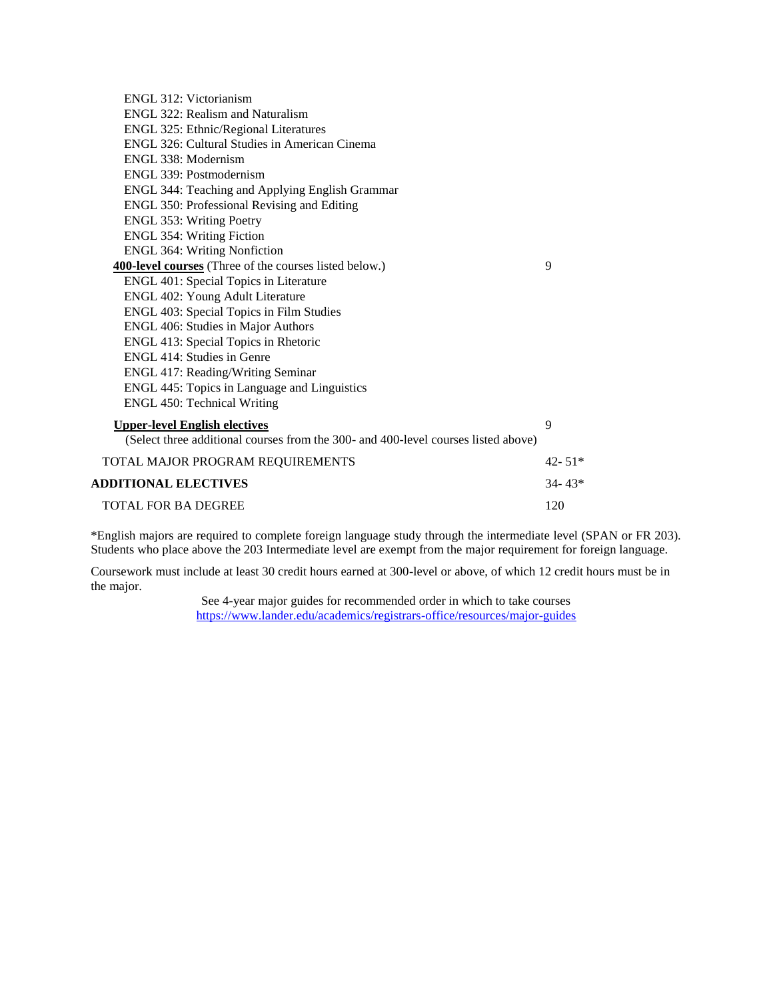| ENGL 312: Victorianism                                                             |            |
|------------------------------------------------------------------------------------|------------|
| ENGL 322: Realism and Naturalism                                                   |            |
| ENGL 325: Ethnic/Regional Literatures                                              |            |
| ENGL 326: Cultural Studies in American Cinema                                      |            |
| ENGL 338: Modernism                                                                |            |
| ENGL 339: Postmodernism                                                            |            |
| ENGL 344: Teaching and Applying English Grammar                                    |            |
| ENGL 350: Professional Revising and Editing                                        |            |
| <b>ENGL 353: Writing Poetry</b>                                                    |            |
| <b>ENGL 354: Writing Fiction</b>                                                   |            |
| <b>ENGL 364: Writing Nonfiction</b>                                                |            |
| <b>400-level courses</b> (Three of the courses listed below.)                      | 9          |
| ENGL 401: Special Topics in Literature                                             |            |
| ENGL 402: Young Adult Literature                                                   |            |
| ENGL 403: Special Topics in Film Studies                                           |            |
| ENGL 406: Studies in Major Authors                                                 |            |
| ENGL 413: Special Topics in Rhetoric                                               |            |
| ENGL 414: Studies in Genre                                                         |            |
| ENGL 417: Reading/Writing Seminar                                                  |            |
| ENGL 445: Topics in Language and Linguistics                                       |            |
| <b>ENGL 450: Technical Writing</b>                                                 |            |
| <b>Upper-level English electives</b>                                               | 9          |
| (Select three additional courses from the 300- and 400-level courses listed above) |            |
| TOTAL MAJOR PROGRAM REQUIREMENTS                                                   | $42 - 51*$ |
| <b>ADDITIONAL ELECTIVES</b>                                                        | $34 - 43*$ |
| <b>TOTAL FOR BA DEGREE</b>                                                         | 120        |

\*English majors are required to complete foreign language study through the intermediate level (SPAN or FR 203). Students who place above the 203 Intermediate level are exempt from the major requirement for foreign language.

Coursework must include at least 30 credit hours earned at 300-level or above, of which 12 credit hours must be in the major.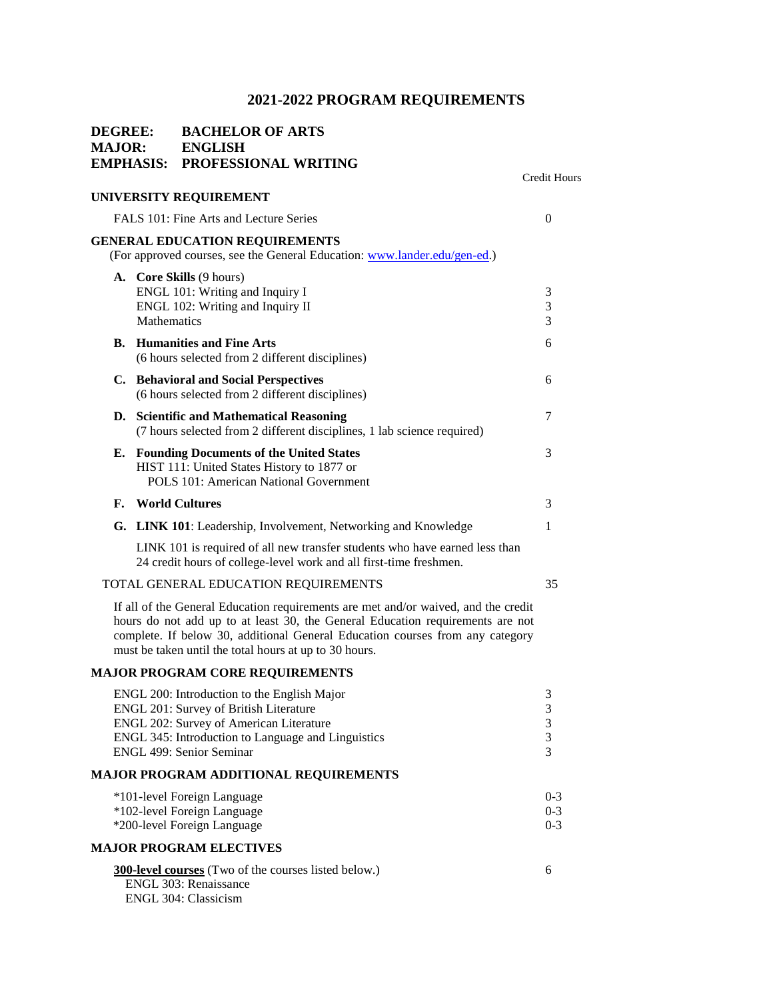Credit Hours

# **DEGREE: BACHELOR OF ARTS MAJOR: ENGLISH EMPHASIS: PROFESSIONAL WRITING**

## **UNIVERSITY REQUIREMENT**

|    | FALS 101: Fine Arts and Lecture Series                                                                             | $\theta$            |
|----|--------------------------------------------------------------------------------------------------------------------|---------------------|
|    |                                                                                                                    |                     |
|    | <b>GENERAL EDUCATION REQUIREMENTS</b><br>(For approved courses, see the General Education: www.lander.edu/gen-ed.) |                     |
|    |                                                                                                                    |                     |
|    | <b>A.</b> Core Skills (9 hours)<br>ENGL 101: Writing and Inquiry I                                                 | 3                   |
|    | ENGL 102: Writing and Inquiry II                                                                                   | 3                   |
|    | Mathematics                                                                                                        | 3                   |
|    | <b>B.</b> Humanities and Fine Arts                                                                                 | 6                   |
|    | (6 hours selected from 2 different disciplines)                                                                    |                     |
|    | C. Behavioral and Social Perspectives                                                                              | 6                   |
|    | (6 hours selected from 2 different disciplines)                                                                    |                     |
|    | D. Scientific and Mathematical Reasoning                                                                           | 7                   |
|    | (7 hours selected from 2 different disciplines, 1 lab science required)                                            |                     |
|    | E. Founding Documents of the United States                                                                         | 3                   |
|    | HIST 111: United States History to 1877 or                                                                         |                     |
|    | POLS 101: American National Government                                                                             |                     |
| F. | <b>World Cultures</b>                                                                                              | 3                   |
|    | G. LINK 101: Leadership, Involvement, Networking and Knowledge                                                     | 1                   |
|    | LINK 101 is required of all new transfer students who have earned less than                                        |                     |
|    | 24 credit hours of college-level work and all first-time freshmen.                                                 |                     |
|    | TOTAL GENERAL EDUCATION REQUIREMENTS                                                                               | 35                  |
|    | If all of the General Education requirements are met and/or waived, and the credit                                 |                     |
|    | hours do not add up to at least 30, the General Education requirements are not                                     |                     |
|    | complete. If below 30, additional General Education courses from any category                                      |                     |
|    | must be taken until the total hours at up to 30 hours.                                                             |                     |
|    | <b>MAJOR PROGRAM CORE REQUIREMENTS</b>                                                                             |                     |
|    | ENGL 200: Introduction to the English Major                                                                        | 3                   |
|    | <b>ENGL 201: Survey of British Literature</b>                                                                      | 3                   |
|    | ENGL 202: Survey of American Literature                                                                            | 3                   |
|    | ENGL 345: Introduction to Language and Linguistics                                                                 | 3<br>$\overline{3}$ |
|    | ENGL 499: Senior Seminar                                                                                           |                     |
|    | <b>MAJOR PROGRAM ADDITIONAL REQUIREMENTS</b>                                                                       |                     |
|    | *101-level Foreign Language                                                                                        | $0 - 3$             |
|    | *102-level Foreign Language                                                                                        | $0 - 3$             |
|    | *200-level Foreign Language                                                                                        | $0 - 3$             |
|    | <b>MAJOR PROGRAM ELECTIVES</b>                                                                                     |                     |
|    | <b>300-level courses</b> (Two of the courses listed below.)                                                        | 6                   |
|    | ENGL 303: Renaissance                                                                                              |                     |
|    | ENGL 304: Classicism                                                                                               |                     |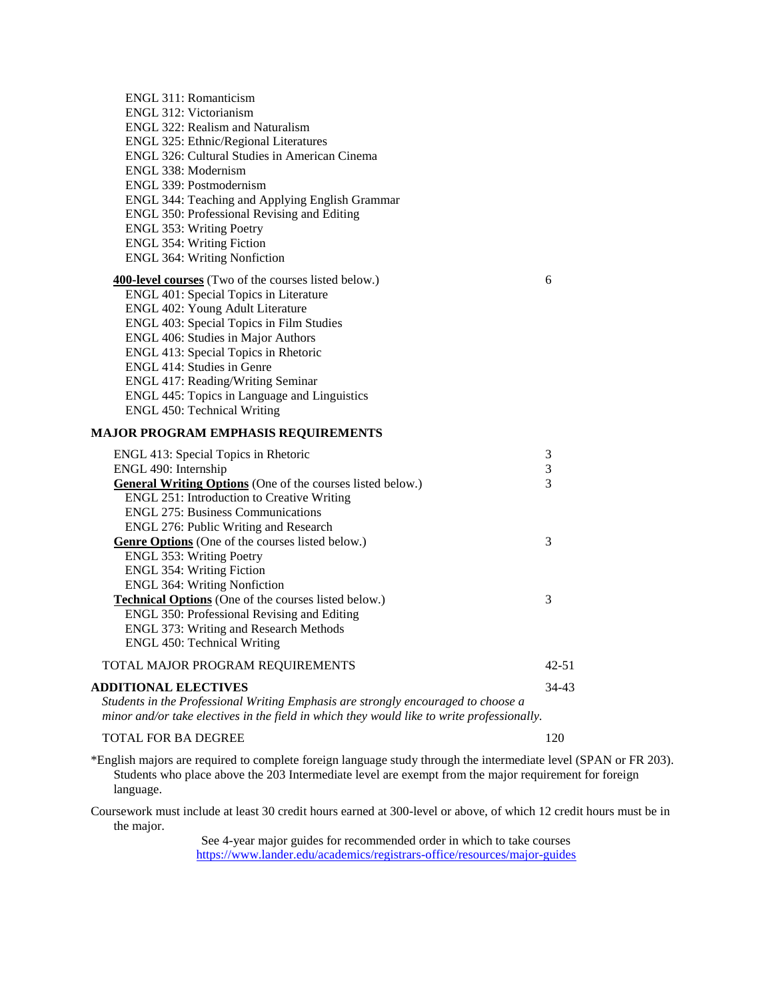| ENGL 311: Romanticism                                            |
|------------------------------------------------------------------|
| ENGL 312: Victorianism                                           |
| ENGL 322: Realism and Naturalism                                 |
| <b>ENGL 325: Ethnic/Regional Literatures</b>                     |
| ENGL 326: Cultural Studies in American Cinema                    |
| ENGL 338: Modernism                                              |
| ENGL 339: Postmodernism                                          |
| ENGL 344: Teaching and Applying English Grammar                  |
| ENGL 350: Professional Revising and Editing                      |
| ENGL 353: Writing Poetry                                         |
| <b>ENGL 354: Writing Fiction</b>                                 |
| <b>ENGL 364: Writing Nonfiction</b>                              |
| <b>400-level courses</b> (Two of the courses listed below.)<br>6 |
| ENGL 401: Special Topics in Literature                           |
| ENGL 402: Young Adult Literature                                 |
| ENGL 403: Special Topics in Film Studies                         |
| ENGL 406: Studies in Major Authors                               |
| ENGL 413: Special Topics in Rhetoric                             |
| ENGL 414: Studies in Genre                                       |
| ENGL 417: Reading/Writing Seminar                                |
| ENGL 445: Topics in Language and Linguistics                     |
| ENGL 450: Technical Writing                                      |
|                                                                  |

### **MAJOR PROGRAM EMPHASIS REQUIREMENTS**

| ENGL 413: Special Topics in Rhetoric                                                                                                                                              | 3         |
|-----------------------------------------------------------------------------------------------------------------------------------------------------------------------------------|-----------|
| ENGL 490: Internship                                                                                                                                                              | 3         |
| General Writing Options (One of the courses listed below.)                                                                                                                        | 3         |
| <b>ENGL 251: Introduction to Creative Writing</b>                                                                                                                                 |           |
| <b>ENGL 275: Business Communications</b>                                                                                                                                          |           |
| ENGL 276: Public Writing and Research                                                                                                                                             |           |
| <b>Genre Options</b> (One of the courses listed below.)                                                                                                                           | 3         |
| ENGL 353: Writing Poetry                                                                                                                                                          |           |
| <b>ENGL 354: Writing Fiction</b>                                                                                                                                                  |           |
| <b>ENGL 364: Writing Nonfiction</b>                                                                                                                                               |           |
| <b>Technical Options</b> (One of the courses listed below.)                                                                                                                       | 3         |
| ENGL 350: Professional Revising and Editing                                                                                                                                       |           |
| <b>ENGL 373: Writing and Research Methods</b>                                                                                                                                     |           |
| ENGL 450: Technical Writing                                                                                                                                                       |           |
| TOTAL MAJOR PROGRAM REQUIREMENTS                                                                                                                                                  | 42-51     |
| ADDITIONAL ELECTIVES                                                                                                                                                              | $34 - 43$ |
| Students in the Professional Writing Emphasis are strongly encouraged to choose a<br>$minor$ and/or take electives in the field in which they would like to write professionally. |           |

### TOTAL FOR BA DEGREE 120

\*English majors are required to complete foreign language study through the intermediate level (SPAN or FR 203). Students who place above the 203 Intermediate level are exempt from the major requirement for foreign language.

Coursework must include at least 30 credit hours earned at 300-level or above, of which 12 credit hours must be in the major.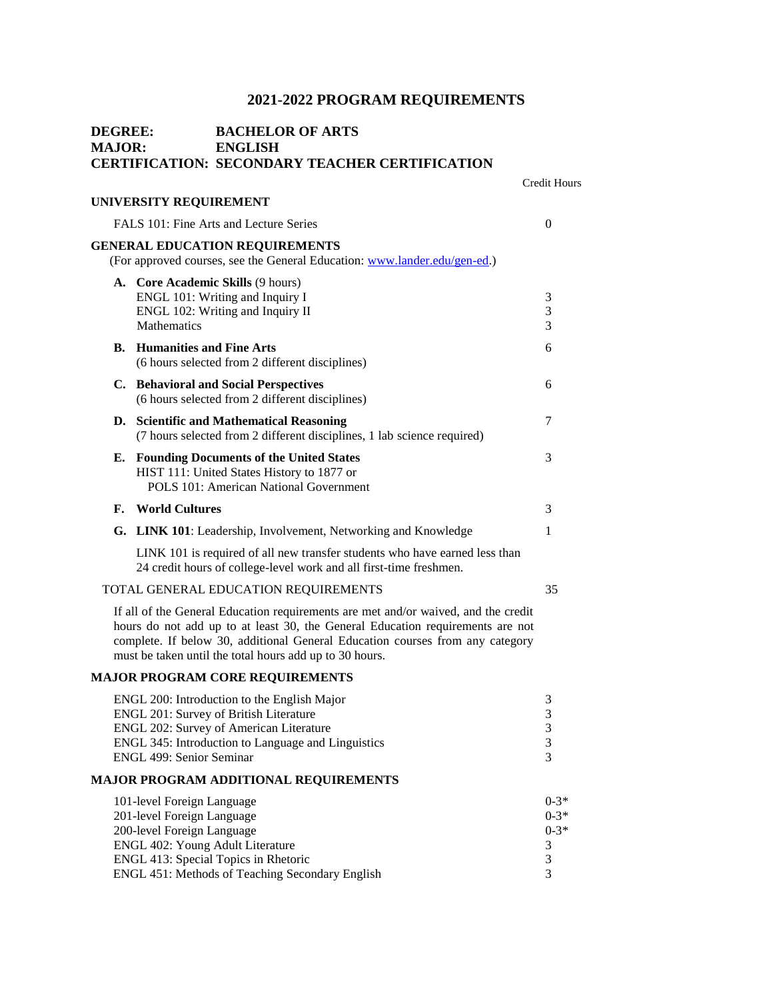Credit Hours

# **DEGREE: BACHELOR OF ARTS MAJOR: ENGLISH CERTIFICATION: SECONDARY TEACHER CERTIFICATION**

|    | <b>UNIVERSITY REQUIREMENT</b>                                                                                                                                                                                                                                                                                    |                                               |
|----|------------------------------------------------------------------------------------------------------------------------------------------------------------------------------------------------------------------------------------------------------------------------------------------------------------------|-----------------------------------------------|
|    | FALS 101: Fine Arts and Lecture Series                                                                                                                                                                                                                                                                           | $\Omega$                                      |
|    | <b>GENERAL EDUCATION REQUIREMENTS</b><br>(For approved courses, see the General Education: www.lander.edu/gen-ed.)                                                                                                                                                                                               |                                               |
|    | A. Core Academic Skills (9 hours)<br>ENGL 101: Writing and Inquiry I<br>ENGL 102: Writing and Inquiry II<br>Mathematics                                                                                                                                                                                          | 3<br>3<br>3                                   |
|    | <b>B.</b> Humanities and Fine Arts<br>(6 hours selected from 2 different disciplines)                                                                                                                                                                                                                            | 6                                             |
|    | C. Behavioral and Social Perspectives<br>(6 hours selected from 2 different disciplines)                                                                                                                                                                                                                         | 6                                             |
|    | D. Scientific and Mathematical Reasoning<br>(7 hours selected from 2 different disciplines, 1 lab science required)                                                                                                                                                                                              | 7                                             |
| Е. | <b>Founding Documents of the United States</b><br>HIST 111: United States History to 1877 or<br>POLS 101: American National Government                                                                                                                                                                           | 3                                             |
|    | F. World Cultures                                                                                                                                                                                                                                                                                                | 3                                             |
|    | G. LINK 101: Leadership, Involvement, Networking and Knowledge                                                                                                                                                                                                                                                   | 1                                             |
|    | LINK 101 is required of all new transfer students who have earned less than<br>24 credit hours of college-level work and all first-time freshmen.                                                                                                                                                                |                                               |
|    | TOTAL GENERAL EDUCATION REQUIREMENTS                                                                                                                                                                                                                                                                             | 35                                            |
|    | If all of the General Education requirements are met and/or waived, and the credit<br>hours do not add up to at least 30, the General Education requirements are not<br>complete. If below 30, additional General Education courses from any category<br>must be taken until the total hours add up to 30 hours. |                                               |
|    | <b>MAJOR PROGRAM CORE REQUIREMENTS</b>                                                                                                                                                                                                                                                                           |                                               |
|    | ENGL 200: Introduction to the English Major<br><b>ENGL 201: Survey of British Literature</b><br>ENGL 202: Survey of American Literature<br>ENGL 345: Introduction to Language and Linguistics<br>ENGL 499: Senior Seminar                                                                                        | 3<br>$\mathfrak{Z}$<br>$\frac{3}{3}$<br>3     |
|    | <b>MAJOR PROGRAM ADDITIONAL REQUIREMENTS</b>                                                                                                                                                                                                                                                                     |                                               |
|    | 101-level Foreign Language<br>201-level Foreign Language<br>200-level Foreign Language<br>ENGL 402: Young Adult Literature<br>ENGL 413: Special Topics in Rhetoric<br>ENGL 451: Methods of Teaching Secondary English                                                                                            | $0-3*$<br>$0 - 3*$<br>$0 - 3*$<br>3<br>3<br>3 |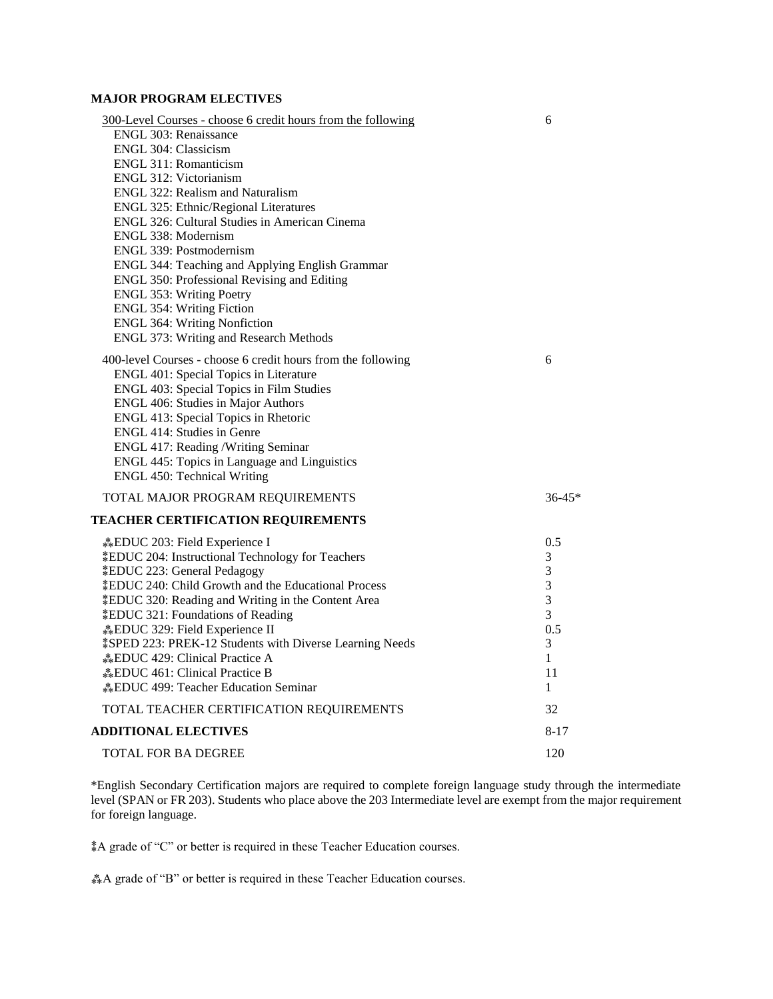# **MAJOR PROGRAM ELECTIVES**

| 300-Level Courses - choose 6 credit hours from the following<br>ENGL 303: Renaissance<br>ENGL 304: Classicism<br>ENGL 311: Romanticism<br>ENGL 312: Victorianism<br><b>ENGL 322: Realism and Naturalism</b><br>ENGL 325: Ethnic/Regional Literatures<br>ENGL 326: Cultural Studies in American Cinema<br>ENGL 338: Modernism<br>ENGL 339: Postmodernism<br>ENGL 344: Teaching and Applying English Grammar<br>ENGL 350: Professional Revising and Editing                                                                                                                              | 6                                                                     |
|----------------------------------------------------------------------------------------------------------------------------------------------------------------------------------------------------------------------------------------------------------------------------------------------------------------------------------------------------------------------------------------------------------------------------------------------------------------------------------------------------------------------------------------------------------------------------------------|-----------------------------------------------------------------------|
| <b>ENGL 353: Writing Poetry</b><br><b>ENGL 354: Writing Fiction</b>                                                                                                                                                                                                                                                                                                                                                                                                                                                                                                                    |                                                                       |
| <b>ENGL 364: Writing Nonfiction</b>                                                                                                                                                                                                                                                                                                                                                                                                                                                                                                                                                    |                                                                       |
| ENGL 373: Writing and Research Methods                                                                                                                                                                                                                                                                                                                                                                                                                                                                                                                                                 |                                                                       |
| 400-level Courses - choose 6 credit hours from the following<br>ENGL 401: Special Topics in Literature<br>ENGL 403: Special Topics in Film Studies<br>ENGL 406: Studies in Major Authors<br>ENGL 413: Special Topics in Rhetoric<br>ENGL 414: Studies in Genre<br>ENGL 417: Reading /Writing Seminar<br>ENGL 445: Topics in Language and Linguistics<br><b>ENGL 450: Technical Writing</b>                                                                                                                                                                                             | 6                                                                     |
| TOTAL MAJOR PROGRAM REQUIREMENTS                                                                                                                                                                                                                                                                                                                                                                                                                                                                                                                                                       | $36 - 45*$                                                            |
| <b>TEACHER CERTIFICATION REQUIREMENTS</b>                                                                                                                                                                                                                                                                                                                                                                                                                                                                                                                                              |                                                                       |
| <b>EDUC</b> 203: Field Experience I<br><i><b>‡EDUC 204: Instructional Technology for Teachers</b></i><br><i><b>EDUC 223: General Pedagogy</b></i><br><i><b>‡EDUC 240: Child Growth and the Educational Process</b></i><br><i>EDUC</i> 320: Reading and Writing in the Content Area<br><b><i>‡EDUC 321: Foundations of Reading</i></b><br><b>EDUC</b> 329: Field Experience II<br><i><b>\$SPED 223: PREK-12 Students with Diverse Learning Needs</b></i><br><b>EDUC</b> 429: Clinical Practice A<br><b>*EDUC</b> 461: Clinical Practice B<br><b>EDUC</b> 499: Teacher Education Seminar | 0.5<br>3<br>$\mathfrak{Z}$<br>3<br>3<br>3<br>0.5<br>3<br>1<br>11<br>1 |
| TOTAL TEACHER CERTIFICATION REQUIREMENTS                                                                                                                                                                                                                                                                                                                                                                                                                                                                                                                                               | 32                                                                    |
| <b>ADDITIONAL ELECTIVES</b>                                                                                                                                                                                                                                                                                                                                                                                                                                                                                                                                                            | $8 - 17$                                                              |
| <b>TOTAL FOR BA DEGREE</b>                                                                                                                                                                                                                                                                                                                                                                                                                                                                                                                                                             | 120                                                                   |

\*English Secondary Certification majors are required to complete foreign language study through the intermediate level (SPAN or FR 203). Students who place above the 203 Intermediate level are exempt from the major requirement for foreign language.

⁑A grade of "C" or better is required in these Teacher Education courses.

⁂A grade of "B" or better is required in these Teacher Education courses.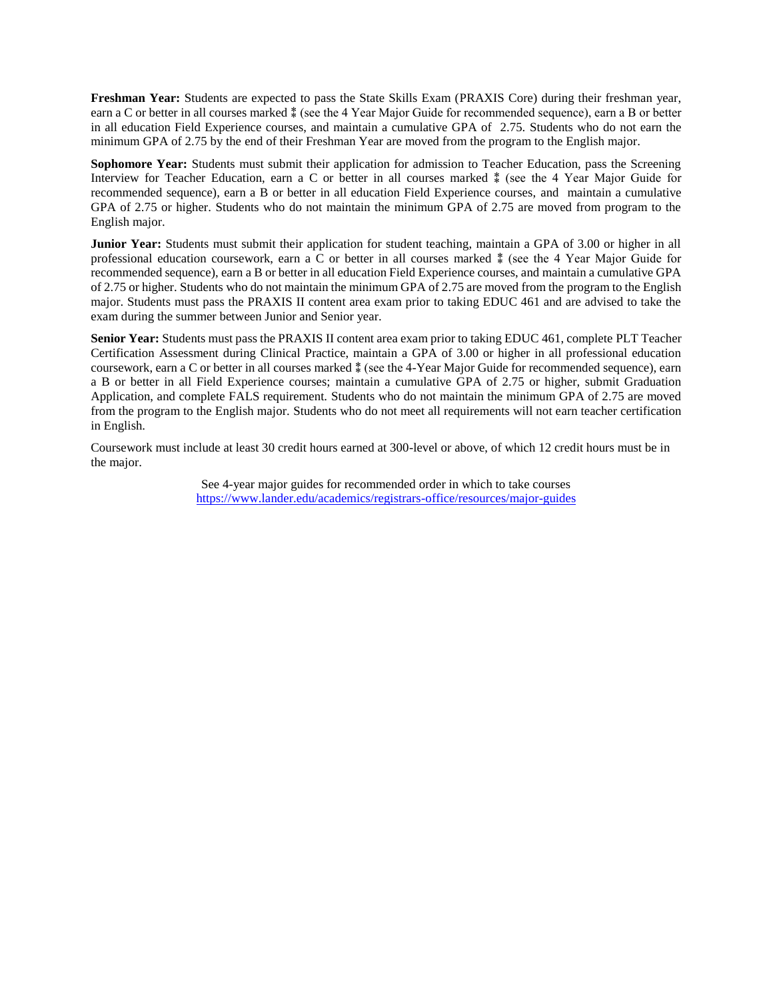**Freshman Year:** Students are expected to pass the State Skills Exam (PRAXIS Core) during their freshman year, earn a C or better in all courses marked ⁑ (see the 4 Year Major Guide for recommended sequence), earn a B or better in all education Field Experience courses, and maintain a cumulative GPA of 2.75. Students who do not earn the minimum GPA of 2.75 by the end of their Freshman Year are moved from the program to the English major.

**Sophomore Year:** Students must submit their application for admission to Teacher Education, pass the Screening Interview for Teacher Education, earn a C or better in all courses marked ⁑ (see the 4 Year Major Guide for recommended sequence), earn a B or better in all education Field Experience courses, and maintain a cumulative GPA of 2.75 or higher. Students who do not maintain the minimum GPA of 2.75 are moved from program to the English major.

**Junior Year:** Students must submit their application for student teaching, maintain a GPA of 3.00 or higher in all professional education coursework, earn a C or better in all courses marked ⁑ (see the 4 Year Major Guide for recommended sequence), earn a B or better in all education Field Experience courses, and maintain a cumulative GPA of 2.75 or higher. Students who do not maintain the minimum GPA of 2.75 are moved from the program to the English major. Students must pass the PRAXIS II content area exam prior to taking EDUC 461 and are advised to take the exam during the summer between Junior and Senior year.

**Senior Year:** Students must pass the PRAXIS II content area exam prior to taking EDUC 461, complete PLT Teacher Certification Assessment during Clinical Practice, maintain a GPA of 3.00 or higher in all professional education coursework, earn a C or better in all courses marked  $*$  (see the 4-Year Major Guide for recommended sequence), earn a B or better in all Field Experience courses; maintain a cumulative GPA of 2.75 or higher, submit Graduation Application, and complete FALS requirement. Students who do not maintain the minimum GPA of 2.75 are moved from the program to the English major. Students who do not meet all requirements will not earn teacher certification in English.

Coursework must include at least 30 credit hours earned at 300-level or above, of which 12 credit hours must be in the major.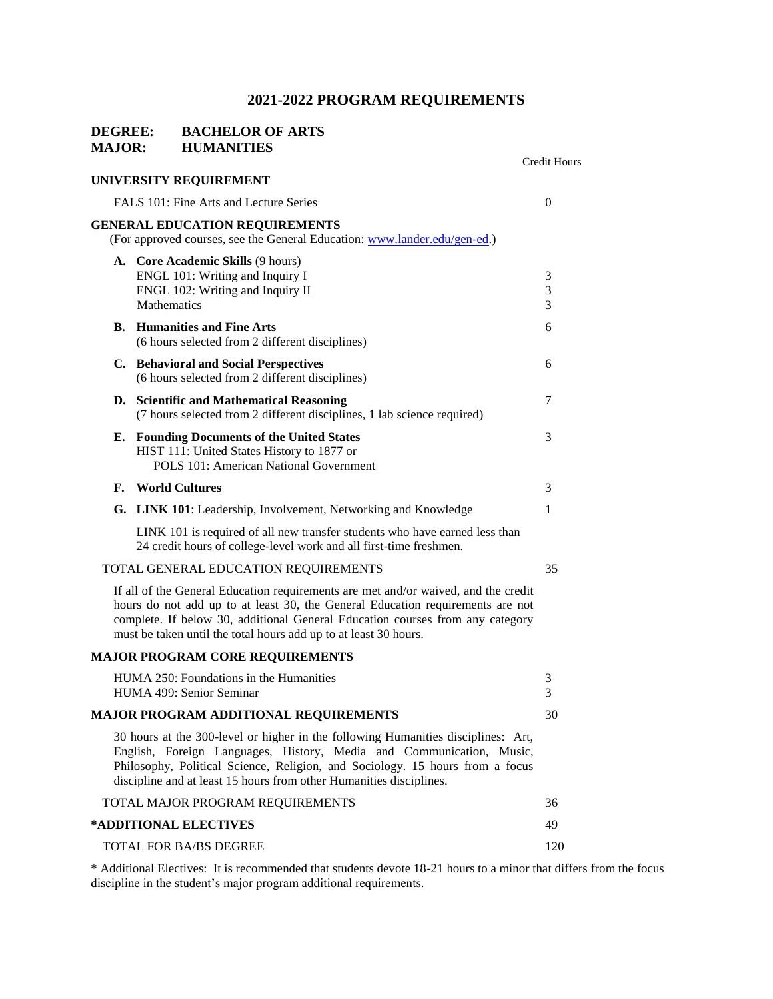# **DEGREE: BACHELOR OF ARTS MAJOR: HUMANITIES**

|           |                                                                                                                                                                                                                                                                                                                           | <b>Credit Hours</b> |
|-----------|---------------------------------------------------------------------------------------------------------------------------------------------------------------------------------------------------------------------------------------------------------------------------------------------------------------------------|---------------------|
|           | UNIVERSITY REQUIREMENT                                                                                                                                                                                                                                                                                                    |                     |
|           | FALS 101: Fine Arts and Lecture Series                                                                                                                                                                                                                                                                                    | $\overline{0}$      |
|           | <b>GENERAL EDUCATION REQUIREMENTS</b><br>(For approved courses, see the General Education: www.lander.edu/gen-ed.)                                                                                                                                                                                                        |                     |
|           | A. Core Academic Skills (9 hours)<br>ENGL 101: Writing and Inquiry I<br>ENGL 102: Writing and Inquiry II<br>Mathematics                                                                                                                                                                                                   | 3<br>3<br>3         |
| <b>B.</b> | <b>Humanities and Fine Arts</b><br>(6 hours selected from 2 different disciplines)                                                                                                                                                                                                                                        | 6                   |
|           | C. Behavioral and Social Perspectives<br>(6 hours selected from 2 different disciplines)                                                                                                                                                                                                                                  | 6                   |
|           | D. Scientific and Mathematical Reasoning<br>(7 hours selected from 2 different disciplines, 1 lab science required)                                                                                                                                                                                                       | 7                   |
|           | E. Founding Documents of the United States<br>HIST 111: United States History to 1877 or<br>POLS 101: American National Government                                                                                                                                                                                        | 3                   |
| F.        | <b>World Cultures</b>                                                                                                                                                                                                                                                                                                     | 3                   |
|           | G. LINK 101: Leadership, Involvement, Networking and Knowledge                                                                                                                                                                                                                                                            | 1                   |
|           | LINK 101 is required of all new transfer students who have earned less than<br>24 credit hours of college-level work and all first-time freshmen.                                                                                                                                                                         |                     |
|           | TOTAL GENERAL EDUCATION REQUIREMENTS                                                                                                                                                                                                                                                                                      | 35                  |
|           | If all of the General Education requirements are met and/or waived, and the credit<br>hours do not add up to at least 30, the General Education requirements are not<br>complete. If below 30, additional General Education courses from any category<br>must be taken until the total hours add up to at least 30 hours. |                     |
|           | <b>MAJOR PROGRAM CORE REQUIREMENTS</b>                                                                                                                                                                                                                                                                                    |                     |
|           | HUMA 250: Foundations in the Humanities<br>HUMA 499: Senior Seminar                                                                                                                                                                                                                                                       | 3<br>3              |
|           | <b>MAJOR PROGRAM ADDITIONAL REQUIREMENTS</b>                                                                                                                                                                                                                                                                              | 30                  |
|           | 30 hours at the 300-level or higher in the following Humanities disciplines: Art,<br>English, Foreign Languages, History, Media and Communication, Music,<br>Philosophy, Political Science, Religion, and Sociology. 15 hours from a focus<br>discipline and at least 15 hours from other Humanities disciplines.         |                     |
|           | TOTAL MAJOR PROGRAM REQUIREMENTS                                                                                                                                                                                                                                                                                          | 36                  |
|           | *ADDITIONAL ELECTIVES                                                                                                                                                                                                                                                                                                     | 49                  |
|           | <b>TOTAL FOR BA/BS DEGREE</b>                                                                                                                                                                                                                                                                                             | 120                 |
|           |                                                                                                                                                                                                                                                                                                                           |                     |

\* Additional Electives: It is recommended that students devote 18-21 hours to a minor that differs from the focus discipline in the student's major program additional requirements.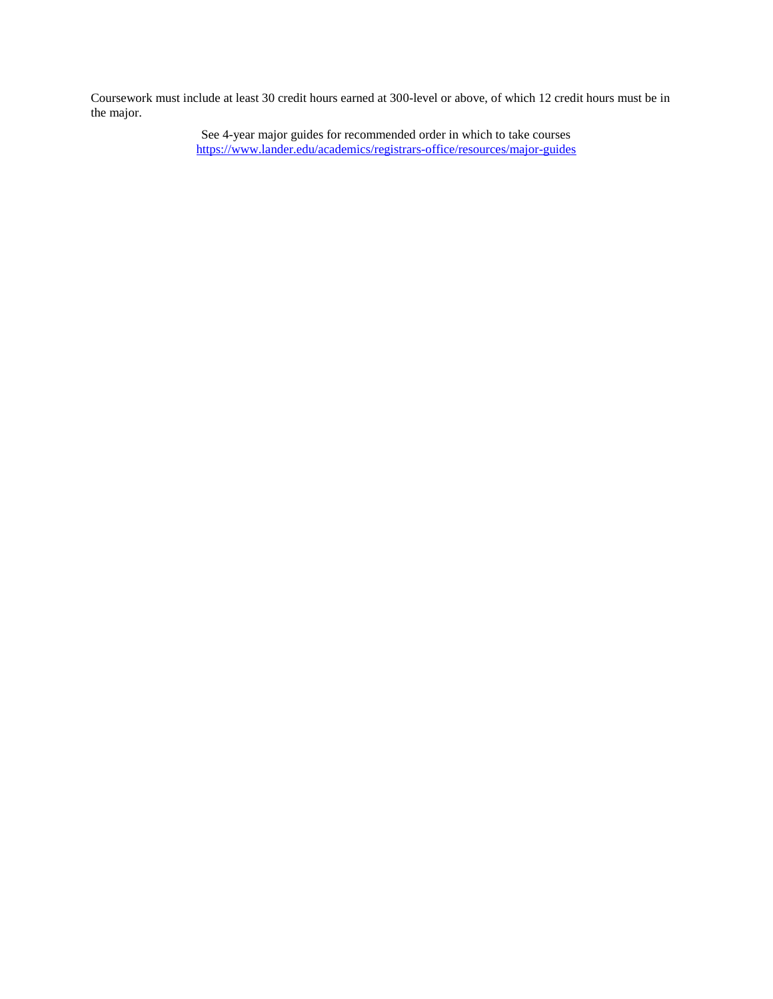Coursework must include at least 30 credit hours earned at 300-level or above, of which 12 credit hours must be in the major.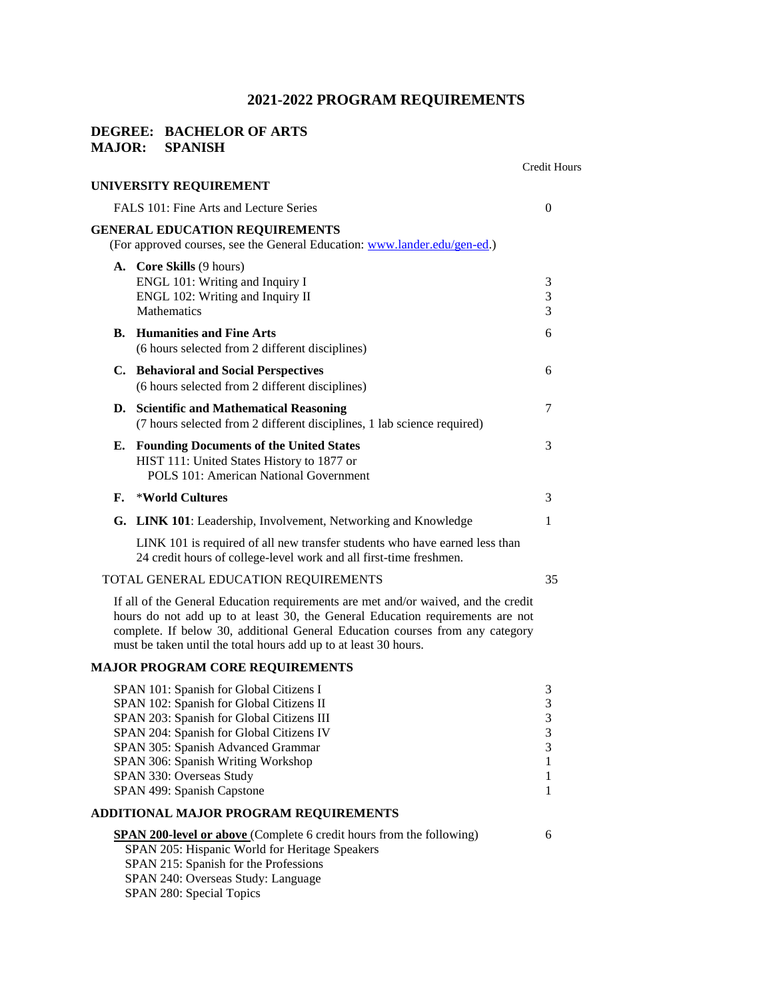### **DEGREE: BACHELOR OF ARTS MAJOR: SPANISH**

|    |                                                                                                                                                   | <b>Credit Hours</b>      |
|----|---------------------------------------------------------------------------------------------------------------------------------------------------|--------------------------|
|    | UNIVERSITY REQUIREMENT                                                                                                                            |                          |
|    | FALS 101: Fine Arts and Lecture Series                                                                                                            | $\Omega$                 |
|    | <b>GENERAL EDUCATION REQUIREMENTS</b><br>(For approved courses, see the General Education: www.lander.edu/gen-ed.)                                |                          |
|    | <b>A.</b> Core Skills (9 hours)<br>ENGL 101: Writing and Inquiry I<br>ENGL 102: Writing and Inquiry II<br><b>Mathematics</b>                      | 3<br>$\mathfrak{Z}$<br>3 |
|    | <b>B.</b> Humanities and Fine Arts<br>(6 hours selected from 2 different disciplines)                                                             | 6                        |
|    | C. Behavioral and Social Perspectives<br>(6 hours selected from 2 different disciplines)                                                          | 6                        |
|    | D. Scientific and Mathematical Reasoning<br>(7 hours selected from 2 different disciplines, 1 lab science required)                               | 7                        |
| Е. | <b>Founding Documents of the United States</b><br>HIST 111: United States History to 1877 or<br>POLS 101: American National Government            | 3                        |
| F. | *World Cultures                                                                                                                                   | $\mathcal{F}$            |
|    | G. LINK 101: Leadership, Involvement, Networking and Knowledge                                                                                    | 1                        |
|    | LINK 101 is required of all new transfer students who have earned less than<br>24 credit hours of college-level work and all first-time freshmen. |                          |
|    | TOTAL GENERAL EDUCATION REQUIREMENTS                                                                                                              | 35                       |
|    | $T$ (1 cd $\alpha$ ) $T$ 1 d $\alpha$ ) $T$ (1 d $T$ ) $T$ ) $T$ (1 d $T$ ) $T$ (1 d $T$                                                          |                          |

If all of the General Education requirements are met and/or waived, and the credit hours do not add up to at least 30, the General Education requirements are not complete. If below 30, additional General Education courses from any category must be taken until the total hours add up to at least 30 hours.

# **MAJOR PROGRAM CORE REQUIREMENTS**

| SPAN 101: Spanish for Global Citizens I                                     | 3 |
|-----------------------------------------------------------------------------|---|
| SPAN 102: Spanish for Global Citizens II                                    | 3 |
| SPAN 203: Spanish for Global Citizens III                                   | 3 |
| SPAN 204: Spanish for Global Citizens IV                                    | 3 |
| SPAN 305: Spanish Advanced Grammar                                          | 3 |
| SPAN 306: Spanish Writing Workshop                                          |   |
| SPAN 330: Overseas Study                                                    |   |
| SPAN 499: Spanish Capstone                                                  |   |
| ADDITIONAL MAJOR PROGRAM REOUIREMENTS                                       |   |
| <b>SPAN 200-level or above</b> (Complete 6 credit hours from the following) | 6 |

SPAN 205: Hispanic World for Heritage Speakers

SPAN 215: Spanish for the Professions

SPAN 240: Overseas Study: Language

SPAN 280: Special Topics